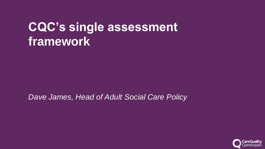# **CQC's single assessment framework**

*Dave James, Head of Adult Social Care Policy*

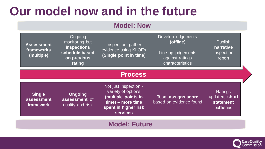# **Our model now and in the future**

## **Model: Now**

| <b>Assessment</b><br>frameworks<br>(multiple) | Ongoing<br>monitoring but<br><b>inspections</b><br>schedule based<br>on previous<br>rating | Inspection: gather<br>evidence using KLOEs<br>(Single point in time)                                                               | Develop judgements<br>(offline)<br>Line-up judgements<br>against ratings<br>characteristics | Publish<br>narrative<br>inspection<br>report               |  |  |  |  |  |  |
|-----------------------------------------------|--------------------------------------------------------------------------------------------|------------------------------------------------------------------------------------------------------------------------------------|---------------------------------------------------------------------------------------------|------------------------------------------------------------|--|--|--|--|--|--|
| <b>Process</b>                                |                                                                                            |                                                                                                                                    |                                                                                             |                                                            |  |  |  |  |  |  |
| <b>Single</b><br>assessment<br>framework      | <b>Ongoing</b><br>assessment of<br>quality and risk                                        | Not just inspection -<br>variety of options<br>(multiple points in<br>time) – more time<br>spent in higher risk<br><b>services</b> | Team assigns score<br>based on evidence found                                               | Ratings<br>updated, short<br><b>statement</b><br>published |  |  |  |  |  |  |
| <b>Model: Future</b>                          |                                                                                            |                                                                                                                                    |                                                                                             |                                                            |  |  |  |  |  |  |

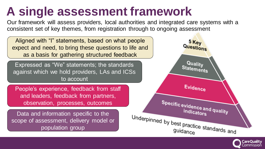# **A single assessment framework**

Our framework will assess providers, local authorities and integrated care systems with a consistent set of key themes, from registration through to ongoing assessment



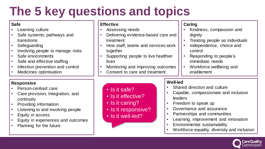# **The 5 key questions and topics**

### **Safe**

- Learning culture
- Safe systems, pathways and transitions
- Safeguarding
- Involving people to manage risks
- Safe environments
- Safe and effective staffing
- Infection prevention and control
- Medicines optimisation

### **Responsive**

- Person-centred care
- Care provision, Integration, and continuity
- Providing information
- Listening to and involving people
- Equity in access
- Equity in experiences and outcomes
- Planning for the future

#### **Effective**

Assessing needs

• Is it safe?

• Is it effective?

• Is it responsive?

• Is it caring?

• Is it well-led?

- Delivering evidence-based care and treatment
- How staff, teams and services work together
- Supporting people to live healthier lives
- Monitoring and improving outcomes
- Consent to care and treatment

### **Caring**

- Kindness, compassion and dignity
- Treating people as individuals
- Independence, choice and control
- Responding to people's immediate needs
- Workforce wellbeing and enablement

### **Well-led**

- Shared direction and culture
- Capable, compassionate and inclusive leaders
- Freedom to speak up
- Governance and assurance
- Partnerships and communities
- Learning, improvement and innovation
- Environmental sustainability
- Workforce equality, diversity and inclusion

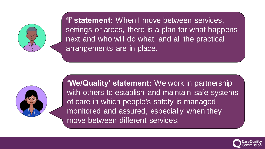

**'I' statement:** When I move between services, settings or areas, there is a plan for what happens next and who will do what, and all the practical arrangements are in place.



**'We/Quality' statement:** We work in partnership with others to establish and maintain safe systems of care in which people's safety is managed, monitored and assured, especially when they move between different services.

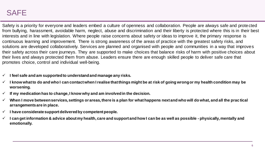## SAFE

Safety is a priority for everyone and leaders embed a culture of openness and collaboration. People are always safe and protected from bullying, harassment, avoidable harm, neglect, abuse and discrimination and their liberty is protected where this is in their best interests and in line with legislation. Where people raise concerns about safety or ideas to improve it, the primary response is continuous learning and improvement. There is strong awareness of the areas of practice with the greatest safety risks, and solutions are developed collaboratively. Services are planned and organised with people and communities in a way that improves their safety across their care journeys. They are supported to make choices that balance risks of harm with positive choices about their lives and always protected them from abuse. Leaders ensure there are enough skilled people to deliver safe care that promotes choice, control and individual well-being.

- ✓ **I feel safe and am supported to understand and manage any risks.**
- ✓ **I know what to do and who I can contact when I realise that things might be at risk of going wrong or my health condition may be worsening.**
- $\checkmark$  If my medication has to change, I know why and am involved in the decision.
- ✓ **When I move between services, settings or areas, there is a plan for what happens next and who will do what, and all the prac tical arrangements are in place.**
- ✓ **I have considerate support delivered by competent people.**
- ✓ **I can get information & advice about my health, care and support and how I can be as well as possible - physically, mentally and emotionally.**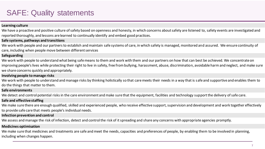# SAFE: Quality statements

#### **Learning culture**

We have a proactive and positive culture of safety based on openness and honesty, in which concerns about safety are listened to, safety events are investigated and reported thoroughly, and lessons are learned to continually identify and embed good practices.

#### **Safe systems, pathways and transitions**

We work with people and our partners to establish and maintain safe systems of care, in which safety is managed, monitored and assured. We ensure continuity of care, including when people move between different services

#### **Safeguarding**

We work with people to understand what being safe means to them and work with them and our partners on how that can best be achieved. We concentrate on improving people's lives while protecting their right to live in safety, free from bullying, harassment, abuse, discrimination, avoidable harm and neglect, and make sure we share concerns quickly and appropriately.

#### **Involving people to manage risks**

We work with people to understand and manage risks by thinking holistically so that care meets their needs in a way that is safe and supportive and enables them to do the things that matter to them.

#### **Safe environments**

We detect and control potential risks in the care environment and make sure that the equipment, facilities and technology support the delivery of safe care.

#### **Safe and effective staffing**

We make sure there are enough qualified, skilled and experienced people, who receive effective support, supervision and development and work together effectively to provide safe care that meets people's individual needs.

#### **Infection prevention and control**

We assess and manage the risk of infection, detect and control the risk of it spreading and share any concerns with appropriate agencies promptly.

#### **Medicines optimisation**

We make sure that medicines and treatments are safe and meet the needs, capacities and preferences of people, by enabling them to be involved in planning, including when changes happen.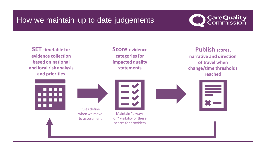# How we maintain up to date judgements



**SET timetable for evidence collection based on national and local risk analysis and priorities**

**Score evidence categories for impacted quality statements**

**Publish scores, narrative and direction of travel when change/time thresholds reached**



Rules define

when we move to assessment



Maintain "always on" visibility of these scores for providers



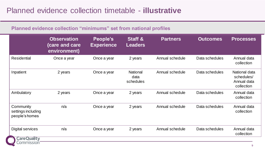### **Planned evidence collection "minimums" set from national profiles**

|                                                             | <b>Observation</b><br>(care and care<br>environment) | People's<br><b>Experience</b> | <b>Staff &amp;</b><br><b>Leaders</b> | <b>Partners</b> | <b>Outcomes</b> | <b>Processes</b>                                         |
|-------------------------------------------------------------|------------------------------------------------------|-------------------------------|--------------------------------------|-----------------|-----------------|----------------------------------------------------------|
| <b>Residential</b>                                          | Once a year                                          | Once a year                   | 2 years                              | Annual schedule | Data schedules  | Annual data<br>collection                                |
| Inpatient                                                   | 2 years                                              | Once a year                   | <b>National</b><br>data<br>schedules | Annual schedule | Data schedules  | National data<br>schedules/<br>Annual data<br>collection |
| Ambulatory                                                  | 2 years                                              | Once a year                   | 2 years                              | Annual schedule | Data schedules  | Annual data<br>collection                                |
| Community<br>settings including<br>people's homes           | n/a                                                  | Once a year                   | 2 years                              | Annual schedule | Data schedules  | Annual data<br>collection                                |
| <b>Digital services</b><br><b>CareQuality</b><br>Commission | n/a                                                  | Once a year                   | 2 years                              | Annual schedule | Data schedules  | Annual data<br>collection                                |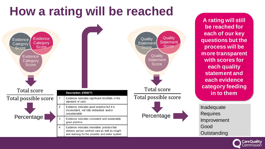# **How a rating will be reached**



**A rating will still be reached for each of our key questions but the process will be more transparent with scores for each quality statement and each evidence category feeding in to them**

Inadequate Requires Improvement Good **Outstanding** 

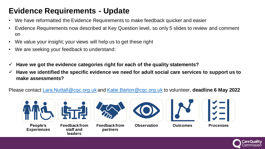# **Evidence Requirements - Update**

- We have reformatted the Evidence Requirements to make feedback quicker and easier
- Evidence Requirements now described at Key Question level, so only 5 slides to review and comment on
- We value your insight; your views will help us to get these right
- We are seeking your feedback to understand:
- ✓ **Have we got the evidence categories right for each of the quality statements?**
- ✓ **Have we identified the specific evidence we need for adult social care services to support us to make assessments?**

## Please contact [Lara.Nuttall@cqc.org.uk](mailto:Lara.Nuttall@cqc.org.uk) and [Katie.Barton@cqc.org.uk](mailto:Katie.Barton@cqc.org.uk) to volunteer, **deadline 6 May 2022**







**Feedback from staff and leaders**



**Feedback from partners**



**Observation Outcomes Processes**